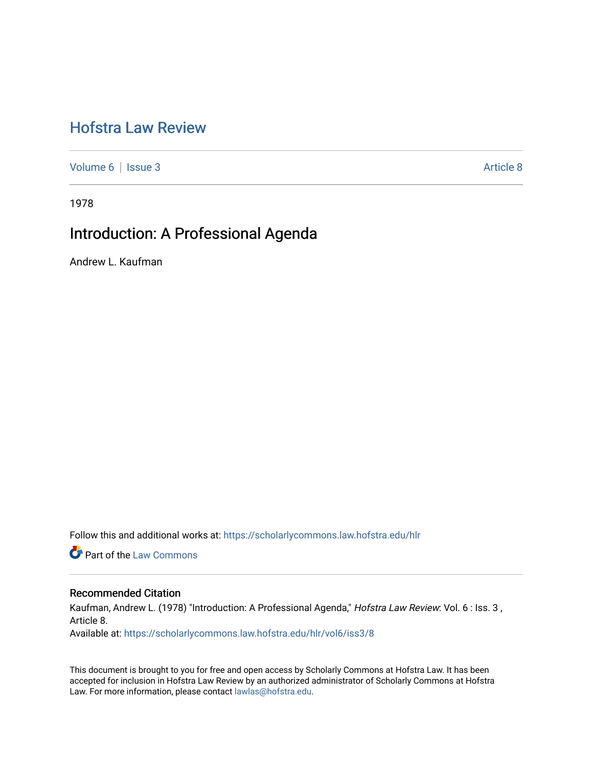# [Hofstra Law Review](https://scholarlycommons.law.hofstra.edu/hlr)

[Volume 6](https://scholarlycommons.law.hofstra.edu/hlr/vol6) | [Issue 3](https://scholarlycommons.law.hofstra.edu/hlr/vol6/iss3) Article 8

1978

# Introduction: A Professional Agenda

Andrew L. Kaufman

Follow this and additional works at: [https://scholarlycommons.law.hofstra.edu/hlr](https://scholarlycommons.law.hofstra.edu/hlr?utm_source=scholarlycommons.law.hofstra.edu%2Fhlr%2Fvol6%2Fiss3%2F8&utm_medium=PDF&utm_campaign=PDFCoverPages)

**Part of the [Law Commons](http://network.bepress.com/hgg/discipline/578?utm_source=scholarlycommons.law.hofstra.edu%2Fhlr%2Fvol6%2Fiss3%2F8&utm_medium=PDF&utm_campaign=PDFCoverPages)** 

## Recommended Citation

Kaufman, Andrew L. (1978) "Introduction: A Professional Agenda," Hofstra Law Review: Vol. 6 : Iss. 3, Article 8. Available at: [https://scholarlycommons.law.hofstra.edu/hlr/vol6/iss3/8](https://scholarlycommons.law.hofstra.edu/hlr/vol6/iss3/8?utm_source=scholarlycommons.law.hofstra.edu%2Fhlr%2Fvol6%2Fiss3%2F8&utm_medium=PDF&utm_campaign=PDFCoverPages) 

This document is brought to you for free and open access by Scholarly Commons at Hofstra Law. It has been accepted for inclusion in Hofstra Law Review by an authorized administrator of Scholarly Commons at Hofstra Law. For more information, please contact [lawlas@hofstra.edu.](mailto:lawlas@hofstra.edu)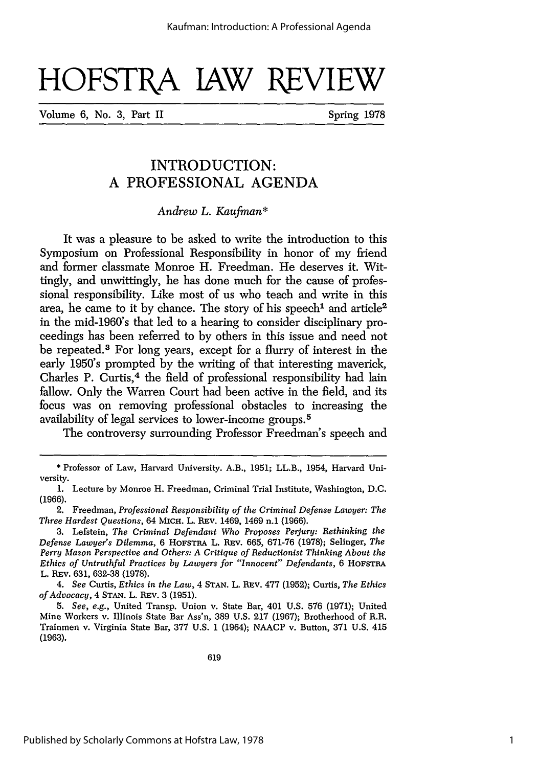# HOFSTRA JAW REVIEW

Volume 6, No. 3, Part II Spring 1978

# INTRODUCTION: **A PROFESSIONAL AGENDA**

#### *Andrew L. Kaufman\**

It was a pleasure to be asked to write the introduction to this Symposium on Professional Responsibility in honor of my friend and former classmate Monroe H. Freedman. He deserves it. Wittingly, and unwittingly, he has done much for the cause of professional responsibility. Like most of us who teach and write in this area, he came to it by chance. The story of his speech' and article2 in the mid-1960's that led to a hearing to consider disciplinary proceedings has been referred to by others in this issue and need not be repeated. 3 For long years, except for a flurry of interest in the early 1950's prompted by the writing of that interesting maverick, Charles P. Curtis,<sup>4</sup> the field of professional responsibility had lain fallow. Only the Warren Court had been active in the field, and its focus was on removing professional obstacles to increasing the availability of legal services to lower-income groups. <sup>5</sup>

The controversy surrounding Professor Freedman's speech and

4. *See* Curtis, *Ethics in the Law,* 4 **STAN.** L. BEv. 477 (1952); Curtis, *The Ethics of Advocacy,* 4 **STAN.** L. REv. 3 (1951).

*5. See, e.g.,* United Transp. Union v. State Bar, 401 U.S. 576 (1971); United Mine Workers v. Illinois State Bar Ass'n, 389 U.S. 217 (1967); Brotherhood of R.R. Trainmen v. Virginia State Bar, 377 U.S. **1** (1964); NAACP v. Button, 371 U.S. 415 (1963).

<sup>\*</sup> Professor of Law, Harvard University. A.B., 1951; LL.B., 1954, Harvard University.

<sup>1.</sup> Lecture by Monroe H. Freedman, Criminal Trial Institute, Washington, D.C. **(1966).**

<sup>2.</sup> Freedman, *Professional Responsibility of the Criminal Defense Lawyer: The Three Hardest Questions,* 64 **MICH.** L. REv. 1469, 1469 n.1 (1966).

<sup>3.</sup> Lefstein, *The Criminal Defendant Who Proposes Perjury: Rethinking the Defense Lawyer's Dilemma,* 6 HOFSTRA L. REV. 665, 671-76 (1978); Selinger, *The Perry Mason Perspective and Others: A Critique of Reductionist Thinking About the Ethics of Untruthful Practices by Lawyers for "Innocent" Defendants,* 6 HOFSTRA L. REv. 631, 632-38 (1978).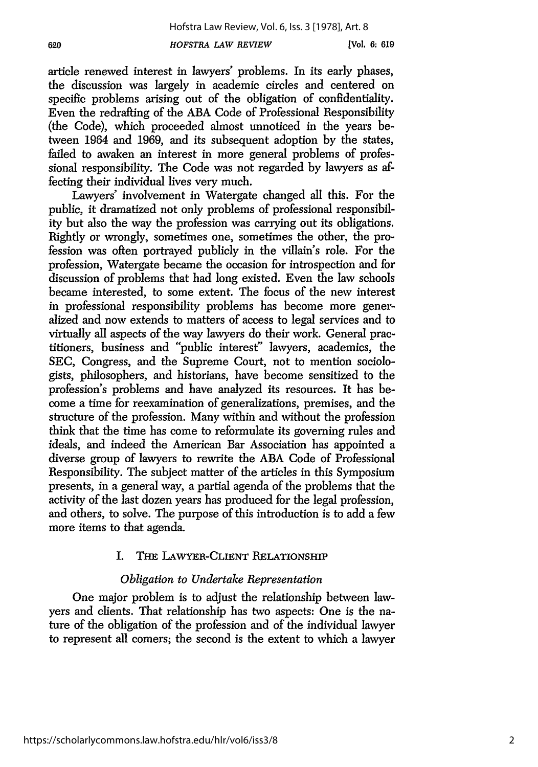article renewed interest in lawyers' problems. In its early phases, the discussion was largely in academic circles and centered on specific problems arising out of the obligation of confidentiality. Even the redrafting of the ABA Code of Professional Responsibility (the Code), which proceeded almost unnoticed in the years between 1964 and 1969, and its subsequent adoption by the states, failed to awaken an interest in more general problems of professional responsibility. The Code was not regarded by lawyers as affecting their individual lives very much.

Lawyers' involvement in Watergate changed all this. For the public, it dramatized not only problems of professional responsibility but also the way the profession was carrying out its obligations. Rightly or wrongly, sometimes one, sometimes the other, the profession was often portrayed publicly in the villain's role. For the profession, Watergate became the occasion for introspection and for discussion of problems that had long existed. Even the law schools became interested, to some extent. The focus of the new interest in professional responsibility problems has become more generalized and now extends to matters of access to legal services and to virtually all aspects of the way lawyers do their work. General practitioners, business and "public interest" lawyers, academics, the SEC, Congress, and the Supreme Court, not to mention sociologists, philosophers, and historians, have become sensitized to the profession's problems and have analyzed its resources. It has become a time for reexamination of generalizations, premises, and the structure of the profession. Many within and without the profession think that the time has come to reformulate its governing rules and ideals, and indeed the American Bar Association has appointed a diverse group of lawyers to rewrite the ABA Code of Professional Responsibility. The subject matter of the articles in this Symposium presents, in a general way, a partial agenda of the problems that the activity of the last dozen years has produced for the legal profession, and others, to solve. The purpose of this introduction is to add a few more items to that agenda.

# I. **THE** LAWYER-CLIENT RELATIONSHIP

# *Obligation to Undertake Representation*

One major problem is to adjust the relationship between lawyers and clients. That relationship has two aspects: One is the nature of the obligation of the profession and of the individual lawyer to represent all comers; the second is the extent to which a lawyer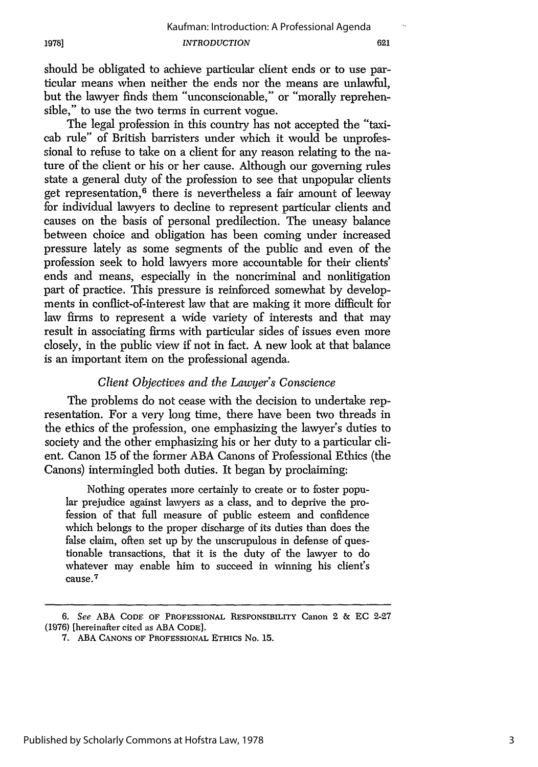should be obligated to achieve particular client ends or to use particular means when neither the ends nor the means are unlawful, but the lawyer finds them "unconscionable," or "morally reprehensible," to use the two terms in current vogue.

The legal profession in this country has not accepted the "taxicab rule" of British barristers under which it would be unprofessional to refuse to take on a client for any reason relating to the nature of the client or his or her cause. Although our governing rules state a general duty of the profession to see that unpopular clients get representation, 6 there is nevertheless a fair amount of leeway for individual lawyers to decline to represent particular clients and causes on the basis of personal predilection. The uneasy balance between choice and obligation has been coming under increased pressure lately as some segments of the public and even of the profession seek to hold lawyers more accountable for their clients' ends and means, especially in the noncriminal and nonlitigation part of practice. This pressure is reinforced somewhat by developments in conflict-of-interest law that are making it more difficult for law firms to represent a wide variety of interests and that may result in associating firms with particular sides of issues even more closely, in the public view if not in fact. A new look at that balance is an important item on the professional agenda.

#### *Client Objectives and the Lawyer's Conscience*

The problems do not cease with the decision to undertake representation. For a very long time, there have been two threads in the ethics of the profession, one emphasizing the lawyer's duties to society and the other emphasizing his or her duty to a particular client. Canon 15 of the former ABA Canons of Professional Ethics (the Canons) intermingled both duties. It began by proclaiming:

Nothing operates more certainly to create or to foster popular prejudice against lawyers as a class, and to deprive the profession of that full measure of public esteem and confidence which belongs to the proper discharge of its duties than does the false claim, often set up by the unscrupulous in defense of questionable transactions, that it is the duty of the lawyer to do whatever may enable him to succeed in winning his client's cause. <sup>7</sup>

<sup>6.</sup> See ABA **CODE.** OF PROFESSIONAL RESPONSIBILITY Canon 2 & EC 2-27 (1976) [hereinafter cited as ABA CODE].

**<sup>7.</sup> ABA CANONS OF** PROFESSIONAL ETHIcs No. **15.**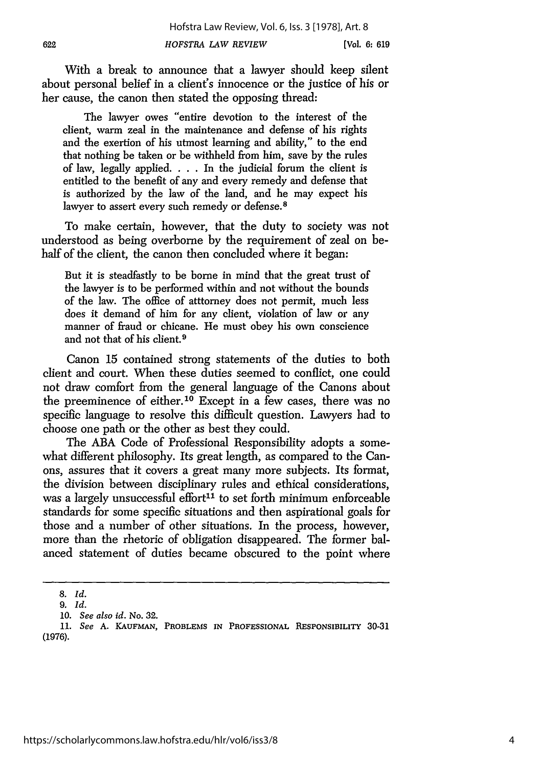With a break to announce that a lawyer should keep silent about personal belief in a client's innocence or the justice of his or her cause, the canon then stated the opposing thread:

The lawyer owes "entire devotion to the interest of the client, warm zeal in the maintenance and defense of his rights and the exertion of his utmost learning and ability," to the end that nothing be taken or be withheld from him, save by the rules of law, legally applied. . **.** . In the judicial forum the client is entitled to the benefit of any and every remedy and defense that is authorized by the law of the land, and he may expect his lawyer to assert every such remedy or defense.<sup>8</sup>

To make certain, however, that the duty to society was not understood as being overborne by the requirement of zeal on behalf of the client, the canon then concluded where it began:

But it is steadfastly to be borne in mind that the great trust of the lawyer is to be performed within and not without the bounds of the law. The office of atttorney does not permit, much less does it demand of him for any client, violation of law or any manner of fraud or chicane. He must obey his own conscience and not that of his client.<sup>9</sup>

Canon 15 contained strong statements of the duties to both client and court. When these duties seemed to conflict, one could not draw comfort from the general language of the Canons about the preeminence of either.10 Except in a few cases, there was no specific language to resolve this difficult question. Lawyers had to choose one path or the other as best they could.

The ABA Code of Professional Responsibility adopts a somewhat different philosophy. Its great length, as compared to the Canons, assures that it covers a great many more subjects. Its format, the division between disciplinary rules and ethical considerations, was a largely unsuccessful effort<sup>11</sup> to set forth minimum enforceable standards for some specific situations and then aspirational goals for those and a number of other situations. In the process, however, more than the rhetoric of obligation disappeared. The former balanced statement of duties became obscured to the point where

*<sup>8.</sup> Id.*

<sup>9.</sup> *Id.*

*<sup>10.</sup> See also id.* No. 32.

**<sup>11.</sup>** *See* **A. KAUFMAN,** PROBLEMS **IN PROFESSIONAL RESPONSIBILITY 30-31 (1976).**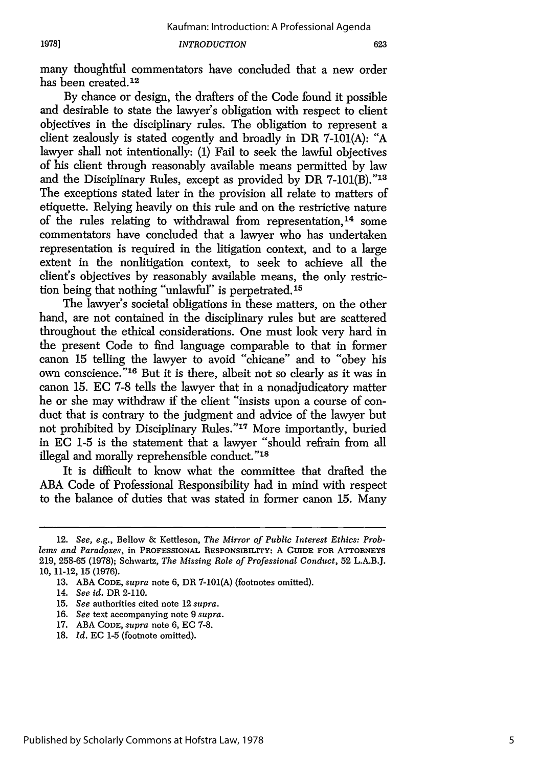many thoughtful commentators have concluded that a new order has been created.12

By chance or design, the drafters of the Code found it possible and desirable to state the lawyer's obligation with respect to client objectives in the disciplinary rules. The obligation to represent a client zealously is stated cogently and broadly in DR 7-101(A): "A lawyer shall not intentionally: (1) Fail to seek the lawful objectives of his client through reasonably available means permitted by law and the Disciplinary Rules, except as provided by DR 7-101(B)."13 The exceptions stated later in the provision all relate to matters of etiquette. Relying heavily on this rule and on the restrictive nature of the rules relating to withdrawal from representation.<sup>14</sup> some commentators have concluded that a lawyer who has undertaken representation is required in the litigation context, and to a large extent in the nonlitigation context, to seek to achieve all the client's objectives by reasonably available means, the only restriction being that nothing "unlawful" is perpetrated.15

The lawyer's societal obligations in these matters, on the other hand, are not contained in the disciplinary rules but are scattered throughout the ethical considerations. One must look very hard in the present Code to find language comparable to that in former canon 15 telling the lawyer to avoid "chicane" and to "obey his own conscience."l6 But it is there, albeit not so clearly as it was in canon 15. EC 7-8 tells the lawyer that in a nonadjudicatory matter he or she may withdraw if the client "insists upon a course of conduct that is contrary to the judgment and advice of the lawyer but not prohibited by Disciplinary Rules."'17 More importantly, buried in **EC** 1-5 is the statement that a lawyer "should refrain from all illegal and morally reprehensible conduct."<sup>18</sup>

It is difficult to know what the committee that drafted the ABA Code of Professional Responsibility had in mind with respect to the balance of duties that was stated in former canon 15. Many

<sup>12.</sup> *See, e.g.,* Bellow & Kettleson, *The Mirror of Public Interest Ethics: Problems and Paradoxes,* in **PROFESSIONAL** RESPONSIBILITY: A **GUJIDE FOR ATTORNEYS** 219, 258-65 (1978); Schwartz, *The Missing Role of Professional Conduct,* 52 L.A.B.J. 10, 11-12, 15 (1976).

<sup>13.</sup> ABA **CODE,** *supra* note 6, DR 7-101(A) (footnotes omitted).

<sup>14.</sup> *See id.* DR 2-110.

<sup>15.</sup> *See* authorities cited note 12 *supra.*

<sup>16.</sup> *See* text accompanying note 9 *supra.*

<sup>17.</sup> ABA **CODE,** *supra* note 6, EC 7-8.

<sup>18.</sup> *Id.* EC 1-5 (footnote omitted).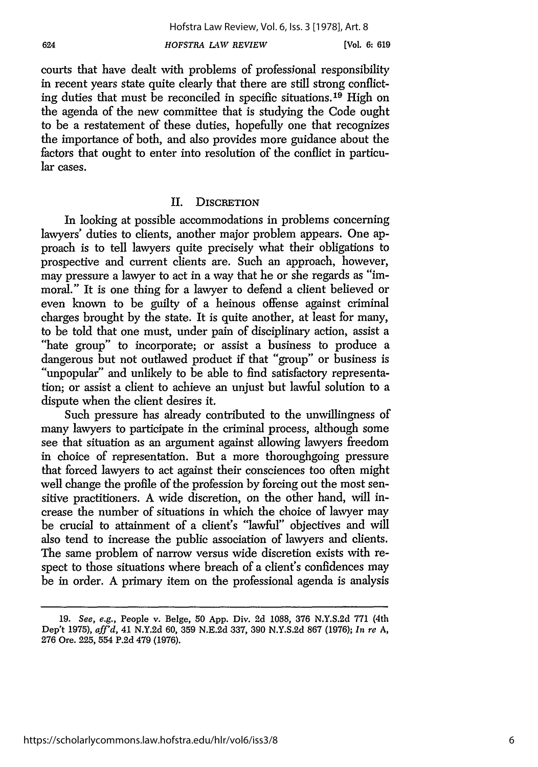courts that have dealt with problems of professional responsibility in recent years state quite clearly that there are still strong conflicting duties that must be reconciled in specific situations.<sup>19</sup> High on the agenda of the new committee that is studying the Code ought to be a restatement of these duties, hopefully one that recognizes the importance of both, and also provides more guidance about the factors that ought to enter into resolution of the conflict in particular cases.

## II. DISCRETION

In looking at possible accommodations in problems concerning lawyers' duties to clients, another major problem appears. One approach is to tell lawyers quite precisely what their obligations to prospective and current clients are. Such an approach, however, may pressure a lawyer to act in a way that he or she regards as "immoral." It is one thing for a lawyer to defend a client believed or even known to be guilty of a heinous offense against criminal charges brought by the state. It is quite another, at least for many, to be told that one must, under pain of disciplinary action, assist a "hate group" to incorporate; or assist a business to produce a dangerous but not outlawed product if that "group" or business is "unpopular" and unlikely to be able to find satisfactory representation; or assist a client to achieve an unjust but lawful solution to a dispute when the client desires it.

Such pressure has already contributed to the unwillingness of many lawyers to participate in the criminal process, although some see that situation as an argument against allowing lawyers freedom in choice of representation. But a more thoroughgoing pressure that forced lawyers to act against their consciences too often might well change the profile of the profession by forcing out the most sensitive practitioners. A wide discretion, on the other hand, will increase the number of situations in which the choice of lawyer may be crucial to attainment of a client's "lawful" objectives and will also tend to increase the public association of lawyers and clients. The same problem of narrow versus wide discretion exists with respect to those situations where breach of a client's confidences may be in order. A primary item on the professional agenda is analysis

<sup>19.</sup> *See, e.g.,* People v. Belge, 50 App. Div. 2d 1088, 376 N.Y.S.2d 771 (4th Dep't 1975), *affd,* 41 N.Y.2d 60, 359 N.E.2d 337, 390 N.Y.S.2d 867 (1976); *In re* A, 276 Ore. 225, 554 P.2d 479 (1976).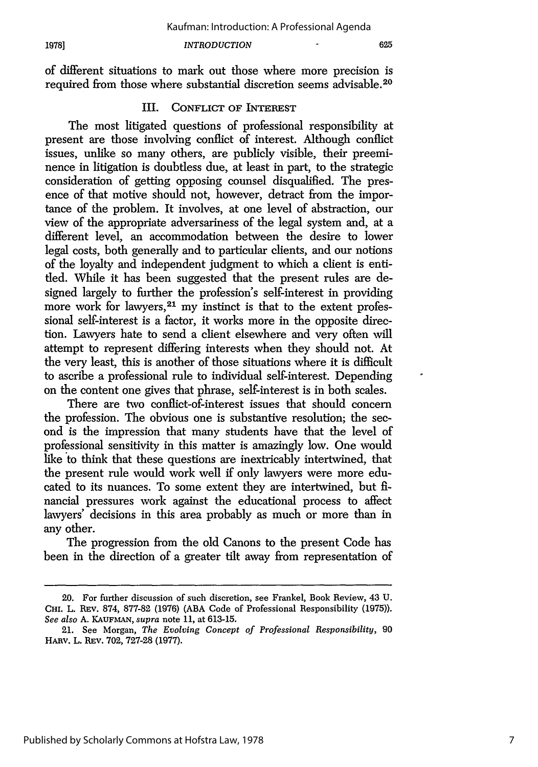#### *INTRODUCTION*

of different situations to mark out those where more precision is required from those where substantial discretion seems advisable.20

#### III. **CONFLICT** OF **INTEREST**

The most litigated questions of professional responsibility at present are those involving conflict of interest. Although conflict issues, unlike so many others, are publicly visible, their preeminence in litigation is doubtless due, at least in part, to the strategic consideration of getting opposing counsel disqualified. The presence of that motive should not, however, detract from the importance of the problem. It involves, at one level of abstraction, our view of the appropriate adversariness of the legal system and, at a different level, an accommodation between the desire to lower legal costs, both generally and to particular clients, and our notions of the loyalty and independent judgment to which a client is entitled. While it has been suggested that the present rules are designed largely to further the profession's self-interest in providing more work for lawyers, 21 my instinct is that to the extent professional self-interest is a factor, it works more in the opposite direction. Lawyers hate to send a client elsewhere and very often will attempt to represent differing interests when they should not. At the very least, this is another of those situations where it is difficult to ascribe a professional rule to individual self-interest. Depending on the content one gives that phrase, self-interest is in both scales.

There are two conflict-of-interest issues that should concern the profession. The obvious one is substantive resolution; the second is the impression that many students have that the level of professional sensitivity in this matter is amazingly low. One would like to think that these questions are inextricably intertwined, that the present rule would work well if only lawyers were more educated to its nuances. To some extent they are intertwined, but financial pressures work against the educational process to affect lawyers' decisions in this area probably as much or more than in any other.

The progression from the old Canons to the present Code has been in the direction of a greater tilt away from representation of

<sup>20.</sup> For further discussion of such discretion, see Frankel, Book Review, 43 U. **CHI.** L. REv. 874, 877-82 (1976) (ABA Code of Professional Responsibility (1975)). *See also* A. **KAUFMAN,** supra note 11, at 613-15.

<sup>21.</sup> See Morgan, *The Evolving Concept of Professional Responsibility,* 90 HARv. L. REv. 702, 727-28 (1977).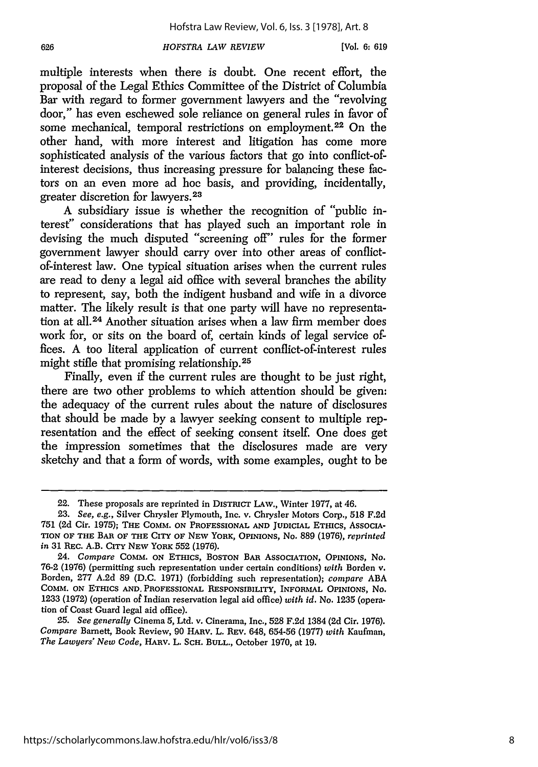*HOFSTRA LAW REVIEW*

626

multiple interests when there is doubt. One recent effort, the proposal of the Legal Ethics Committee of the District of Columbia Bar with regard to former government lawyers and the "revolving door," has even eschewed sole reliance on general rules in favor of some mechanical, temporal restrictions on employment.<sup>22</sup> On the other hand, with more interest and litigation has come more sophisticated analysis of the various factors that go into conflict-ofinterest decisions, thus increasing pressure for balancing these factors on an even more ad hoe basis, and providing, incidentally, greater discretion for lawyers.<sup>23</sup>

A subsidiary issue is whether the recognition of "public interest" considerations that has played such an important role in devising the much disputed "screening off" rules for the former government lawyer should carry over into other areas of conflictof-interest law. One typical situation arises when the current rules are read to deny a legal aid office with several branches the ability to represent, say, both the indigent husband and wife in a divorce matter. The likely result is that one party will have no representation at all.24 Another situation arises when a law firm member does work for, or sits on the board of, certain kinds of legal service offices. A too literal application of current conflict-of-interest rules might stifle that promising relationship.<sup>25</sup>

Finally, even if the current rules are thought to be just right, there are two other problems to which attention should be given: the adequacy of the current rules about the nature of disclosures that should be made by a lawyer seeking consent to multiple representation and the effect of seeking consent itself. One does get the impression sometimes that the disclosures made are very sketchy and that a form of words, with some examples, ought to be

*25. See generally* Cinema 5, Ltd. v. Cinerama, Inc., 528 F.2d 1384 (2d Cir. 1976). *Compare* Barnett, Book Review, 90 HARv. L. REv. 648, 654-56 (1977) *with* Kaufman, *The Lawyers' New Code,* HARv. L. SCH. **BULL.,** October 1970, at 19.

<sup>22.</sup> These proposals are reprinted in DISTRICT **LAW.,** Winter 1977, at 46.

<sup>23.</sup> *See,* e.g., Silver Chrysler Plymouth, Inc. v. Chrysler Motors Corp., 518 F.2d **751** (2d Cir. **1975); THE** COMM. **ON PROFESSIONAL AND** JUDICIAL **ETHICS, ASSOCIA-TION OF THE BAR OF THE CITY OF NEW YORK, OPINIONS,** No. **889 (1976),** *reprinted in* 31 REc. A.B. CITY **NEW YORK 552 (1976).**

*<sup>24.</sup> Compare* **COMM. ON ETHICS, BOSTON BAR ASSOCIATION, OPINIONS,** *No.* 76-2 **(1976)** (permitting such representation under certain conditions) with Borden v. Borden, 277 **A.2d** 89 (D.C. 1971) (forbidding such representation); *compare* ABA **COMM. ON ETHICS AND. PROFESSIONAL** RESPONSIBILITY, INFORMAL **OPINIONS,** *No.* 1233 (1972) (operation of Indian reservation legal aid office) *with id.* No. 1235 (operation of Coast Guard legal aid office).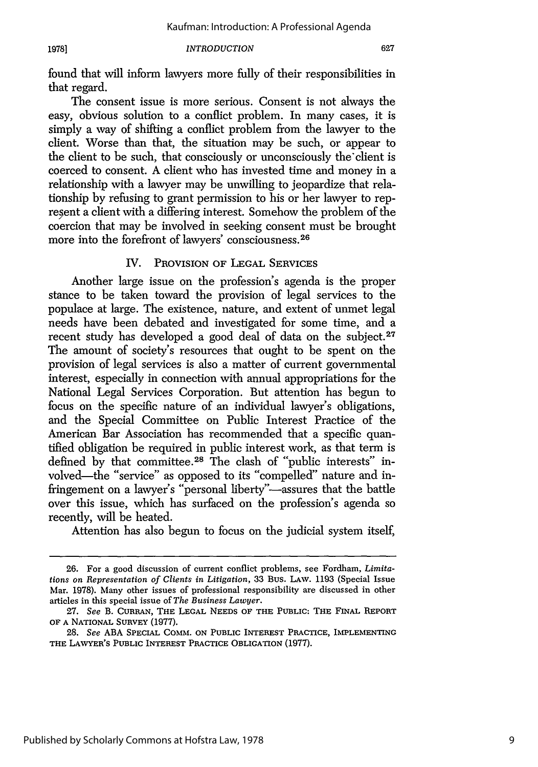#### *INTRODUCTION*

found that will inform lawyers more fully of their responsibilities in that regard.

The consent issue is more serious. Consent is not always the easy, obvious solution to a conflict problem. In many cases, it is simply a way of shifting a conflict problem from the lawyer to the client. Worse than that, the situation may be such, or appear to the client to be such, that consciously or unconsciously the client is coerced to consent. A client who has invested time and money in a relationship with a lawyer may be unwilling to jeopardize that relationship by refusing to grant permission to his or her lawyer to represent a client with a differing interest. Somehow the problem of the coercion that may be involved in seeking consent must be brought more into the forefront of lawyers' consciousness.<sup>26</sup>

# IV. PROVISION OF LEGAL SERVICES

Another large issue on the profession's agenda is the proper stance to be taken toward the provision of legal services to the populace at large. The existence, nature, and extent of unmet legal needs have been debated and investigated for some time, and a recent study has developed a good deal of data on the subject. $27$ The amount of society's resources that ought to be spent on the provision of legal services is also a matter of current governmental interest, especially in connection with annual appropriations for the National Legal Services Corporation. But attention has begun to focus on the specific nature of an individual lawyer's obligations, and the Special Committee on Public Interest Practice of the American Bar Association has recommended that a specific quantified obligation be required in public interest work, as that term is defined by that committee.<sup>28</sup> The clash of "public interests" involved-the "service" as opposed to its "compelled" nature and infringement on a lawyer's "personal liberty"-assures that the battle over this issue, which has surfaced on the profession's agenda so recently, will be heated.

Attention has also begun to focus on the judicial system itself,

<sup>26.</sup> For a good discussion of current conflict problems, see Fordham, *Limitations on Representation of Clients in Litigation,* 33 Bus. **LAW.** 1193 (Special Issue Mar. 1978). Many other issues of professional responsibility are discussed in other articles in this special issue of *The Business Lawyer.*

<sup>27.</sup> *See* B. CURRAN, THE **LEGAL NEEDS** OF THE **PUBLIC:** THE FINAL REPORT OF **A** NATIONAL SURVEY (1977).

<sup>28.</sup> *See* ABA SPECIAL COMM. **ON** PUBLIC INTEREST PRACTICE, IMPLEMENTING THE **LAWYER'S PUBLIC INTEREST** PRACTICE **OBLIGATION** (1977).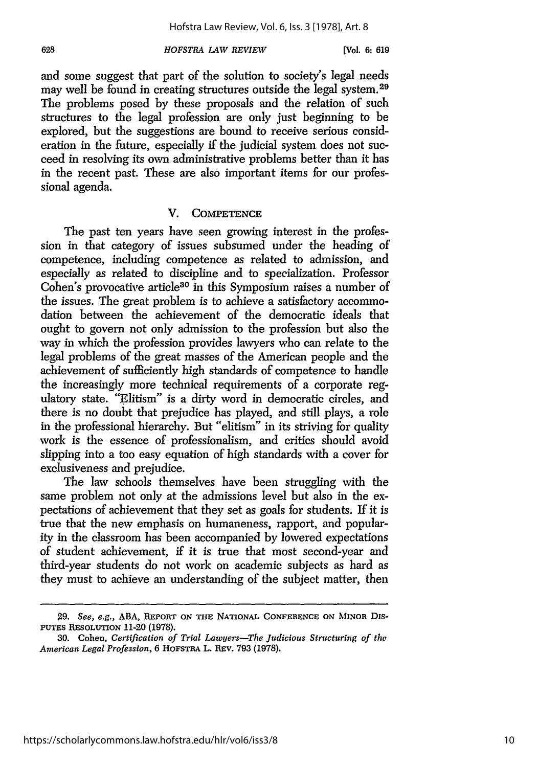#### *HOFSTRA LAW REVIEW*

and some suggest that part of the solution to society's legal needs may well be found in creating structures outside the legal system.<sup>29</sup> The problems posed by these proposals and the relation of such structures to the legal profession are only just beginning to be explored, but the suggestions are bound to receive serious consideration in the future, especially if the judicial system does not succeed in resolving its *own* administrative problems better than it has in the recent past. These are also important items for our professional agenda.

#### V. **COMPETENCE**

The past ten years have seen growing interest in the profession in that category of issues subsumed under the heading of competence, including competence as related to admission, and especially as related to discipline and to specialization. Professor Cohen's provocative article<sup>30</sup> in this Symposium raises a number of the issues. The great problem is to achieve a satisfactory accommodation between the achievement of the democratic ideals that ought to govern not only admission to the profession but also the way in which the profession provides lawyers who can relate to the legal problems of the great masses of the American people and the achievement of sufficiently high standards of competence to handle the increasingly more technical requirements of a corporate regulatory state. "Elitism" is a dirty word in democratic circles, and there is no doubt that prejudice has played, and still plays, a role in the professional hierarchy. But "elitism" in its striving for quality work is the essence of professionalism, and critics should avoid slipping into a too easy equation of high standards with a cover for exclusiveness and prejudice.

The law schools themselves have been struggling with the same problem not only at the admissions level but also in the expectations of achievement that they set as goals for students. If it is true that the new emphasis on humaneness, rapport, and popularity in the classroom has been accompanied by lowered expectations of student achievement, if it is true that most second-year and third-year students do not work on academic subjects as hard as they must to achieve an understanding of the subject matter, then

**<sup>29.</sup>** *See, e.g.,* **ABA, REPORT ON THE NATIONAL CONFERENCE ON** MINOR **Dis-PUTES** RESOLUTION **11-20 (1978).**

**<sup>30.</sup>** Cohen, *Certification of Trial Lawyers-The Judicious Structuring of thw American Legal Profession,* 6 **HOFSTRA L.** REv. **793 (1978).**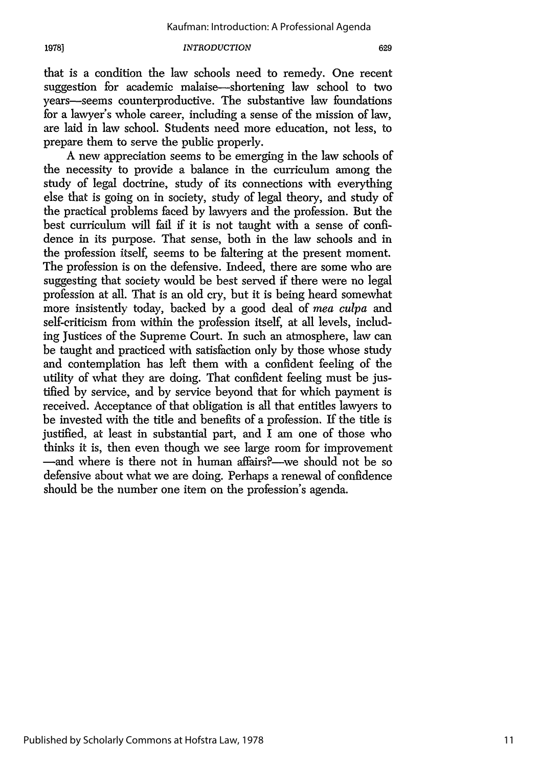**1978]**

#### *INTRODUCTION*

that is a condition the law schools need to remedy. One recent suggestion for academic malaise-shortening law school to two years-seems counterproductive. The substantive law foundations for a lawyer's whole career, including a sense of the mission of law, are laid in law school. Students need more education, not less, to prepare them to serve the public properly.

A new appreciation seems to be emerging in the law schools of the necessity to provide a balance in the curriculum among the study of legal doctrine, study of its connections with everything else that is going on in society, study of legal theory, and study of the practical problems faced by lawyers and the profession. But the best curriculum will fail if it is not taught with a sense of confidence in its purpose. That sense, both in the law schools and in the profession itself, seems to be faltering at the present moment. The profession is on the defensive. Indeed, there are some who are suggesting that society would be best served if there were no legal profession at all. That is an old cry, but it is being heard somewhat more insistently today, backed by a good deal of *mea culpa* and self-criticism from within the profession itself, at all levels, including Justices of the Supreme Court. In such an atmosphere, law can be taught and practiced with satisfaction only by those whose study and contemplation has left them with a confident feeling of the utility of what they are doing. That confident feeling must be justified by service, and by service beyond that for which payment is received. Acceptance of that obligation is all that entitles lawyers to be invested with the title and benefits of a profession. If the title is justified, at least in substantial part, and I am one of those who thinks it is, then even though we see large room for improvement -and where is there not in human affairs?--we should not be so defensive about what we are doing. Perhaps a renewal of confidence should be the number one item on the profession's agenda.